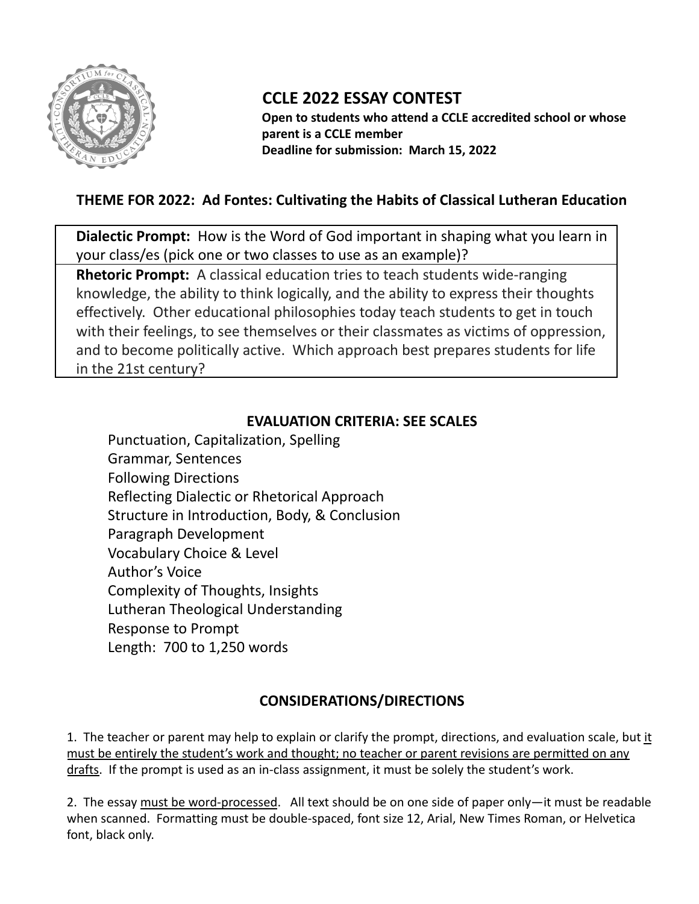

# **CCLE 2022 ESSAY CONTEST**

**Open to students who attend a CCLE accredited school or whose parent is a CCLE member Deadline for submission: March 15, 2022**

## **THEME FOR 2022: Ad Fontes: Cultivating the Habits of Classical Lutheran Education**

**Dialectic Prompt:** How is the Word of God important in shaping what you learn in your class/es (pick one or two classes to use as an example)?

**Rhetoric Prompt:** A classical education tries to teach students wide-ranging knowledge, the ability to think logically, and the ability to express their thoughts effectively. Other educational philosophies today teach students to get in touch with their feelings, to see themselves or their classmates as victims of oppression, and to become politically active. Which approach best prepares students for life in the 21st century?

#### **EVALUATION CRITERIA: SEE SCALES**

Punctuation, Capitalization, Spelling Grammar, Sentences Following Directions Reflecting Dialectic or Rhetorical Approach Structure in Introduction, Body, & Conclusion Paragraph Development Vocabulary Choice & Level Author's Voice Complexity of Thoughts, Insights Lutheran Theological Understanding Response to Prompt Length: 700 to 1,250 words

### **CONSIDERATIONS/DIRECTIONS**

1. The teacher or parent may help to explain or clarify the prompt, directions, and evaluation scale, but it must be entirely the student's work and thought; no teacher or parent revisions are permitted on any drafts. If the prompt is used as an in-class assignment, it must be solely the student's work.

2. The essay must be word-processed. All text should be on one side of paper only—it must be readable when scanned. Formatting must be double-spaced, font size 12, Arial, New Times Roman, or Helvetica font, black only.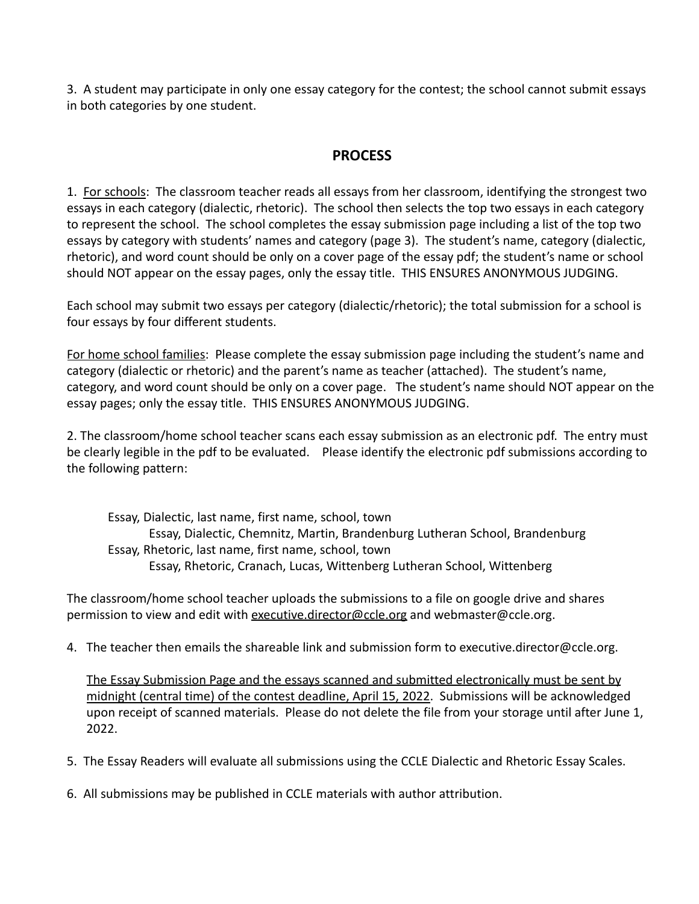3. A student may participate in only one essay category for the contest; the school cannot submit essays in both categories by one student.

#### **PROCESS**

1. For schools: The classroom teacher reads all essays from her classroom, identifying the strongest two essays in each category (dialectic, rhetoric). The school then selects the top two essays in each category to represent the school. The school completes the essay submission page including a list of the top two essays by category with students' names and category (page 3). The student's name, category (dialectic, rhetoric), and word count should be only on a cover page of the essay pdf; the student's name or school should NOT appear on the essay pages, only the essay title. THIS ENSURES ANONYMOUS JUDGING.

Each school may submit two essays per category (dialectic/rhetoric); the total submission for a school is four essays by four different students.

For home school families: Please complete the essay submission page including the student's name and category (dialectic or rhetoric) and the parent's name as teacher (attached). The student's name, category, and word count should be only on a cover page. The student's name should NOT appear on the essay pages; only the essay title. THIS ENSURES ANONYMOUS JUDGING.

2. The classroom/home school teacher scans each essay submission as an electronic pdf. The entry must be clearly legible in the pdf to be evaluated. Please identify the electronic pdf submissions according to the following pattern:

Essay, Dialectic, last name, first name, school, town Essay, Dialectic, Chemnitz, Martin, Brandenburg Lutheran School, Brandenburg Essay, Rhetoric, last name, first name, school, town Essay, Rhetoric, Cranach, Lucas, Wittenberg Lutheran School, Wittenberg

The classroom/home school teacher uploads the submissions to a file on google drive and shares permission to view and edit with [executive.director@ccle.org](mailto:executive.director@ccle.org) and webmaster@ccle.org.

4. The teacher then emails the shareable link and submission form to executive.director@ccle.org.

The Essay Submission Page and the essays scanned and submitted electronically must be sent by midnight (central time) of the contest deadline, April 15, 2022. Submissions will be acknowledged upon receipt of scanned materials. Please do not delete the file from your storage until after June 1, 2022.

5. The Essay Readers will evaluate all submissions using the CCLE Dialectic and Rhetoric Essay Scales.

6. All submissions may be published in CCLE materials with author attribution.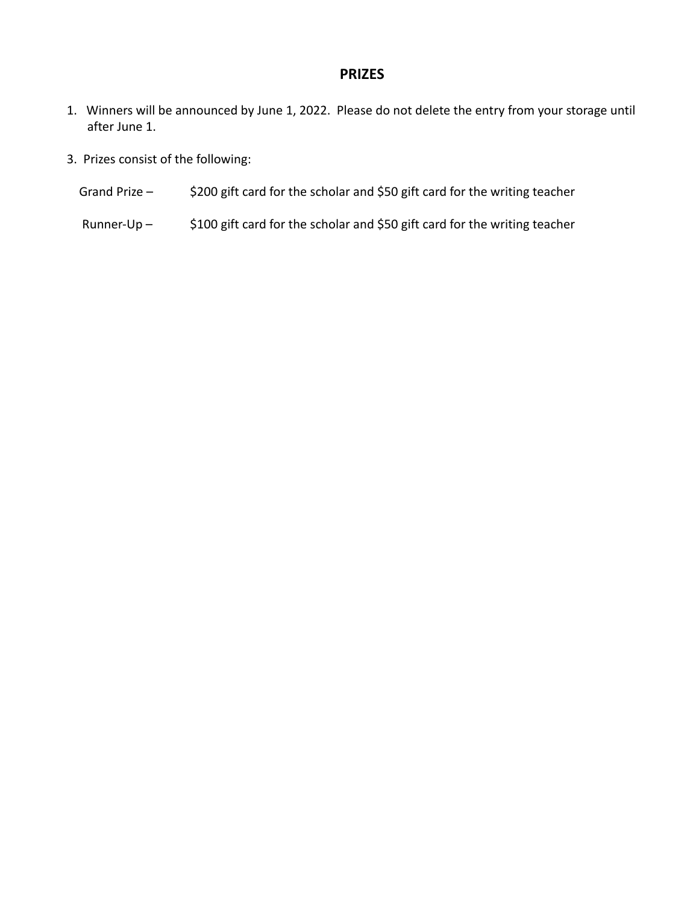#### **PRIZES**

- 1. Winners will be announced by June 1, 2022. Please do not delete the entry from your storage until after June 1.
- 3. Prizes consist of the following:
	- Grand Prize \$200 gift card for the scholar and \$50 gift card for the writing teacher
	- Runner-Up \$100 gift card for the scholar and \$50 gift card for the writing teacher